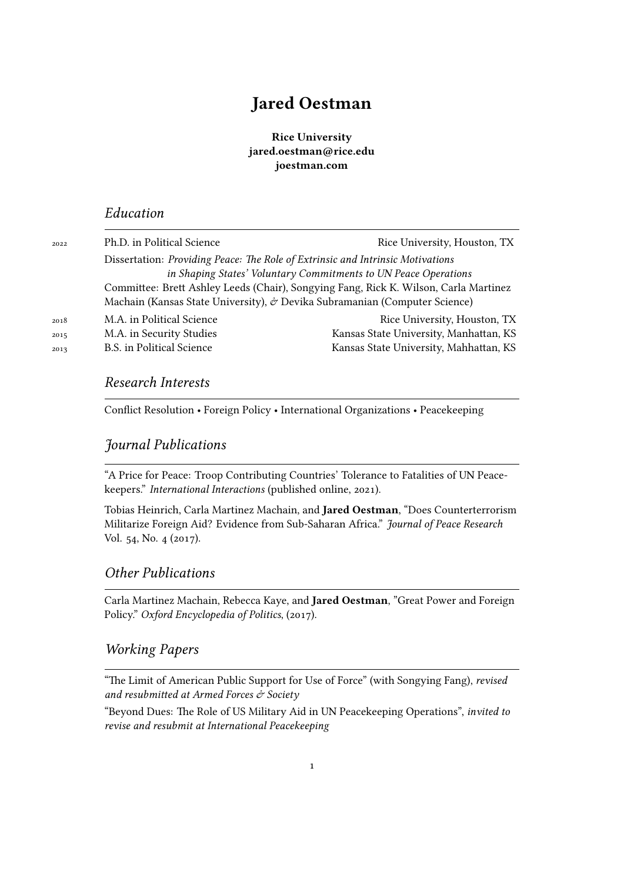# **Jared Oestman**

**Rice University jared.oestman@rice.edu joestman.com**

#### *Education*

| 2022 | Ph.D. in Political Science                                                           | Rice University, Houston, TX           |
|------|--------------------------------------------------------------------------------------|----------------------------------------|
|      | Dissertation: Providing Peace: The Role of Extrinsic and Intrinsic Motivations       |                                        |
|      | in Shaping States' Voluntary Commitments to UN Peace Operations                      |                                        |
|      | Committee: Brett Ashley Leeds (Chair), Songying Fang, Rick K. Wilson, Carla Martinez |                                        |
|      | Machain (Kansas State University), & Devika Subramanian (Computer Science)           |                                        |
| 2018 | M.A. in Political Science                                                            | Rice University, Houston, TX           |
| 2015 | M.A. in Security Studies                                                             | Kansas State University, Manhattan, KS |
| 2013 | <b>B.S.</b> in Political Science                                                     | Kansas State University, Mahhattan, KS |
|      |                                                                                      |                                        |

## *Research Interests*

Conflict Resolution • Foreign Policy • International Organizations • Peacekeeping

### *Journal Publications*

"A Price for Peace: Troop Contributing Countries' Tolerance to Fatalities of UN Peacekeepers." *International Interactions* (published online, 2021).

Tobias Heinrich, Carla Martinez Machain, and **Jared Oestman**, "Does Counterterrorism Militarize Foreign Aid? Evidence from Sub-Saharan Africa." *Journal of Peace Research* Vol. 54, No. 4 (2017).

# *Other Publications*

Carla Martinez Machain, Rebecca Kaye, and **Jared Oestman**, "Great Power and Foreign Policy." *Oxford Encyclopedia of Politics*, (2017).

# *Working Papers*

"The Limit of American Public Support for Use of Force" (with Songying Fang), *revised and resubmitted at Armed Forces & Society*

"Beyond Dues: The Role of US Military Aid in UN Peacekeeping Operations", *invited to revise and resubmit at International Peacekeeping*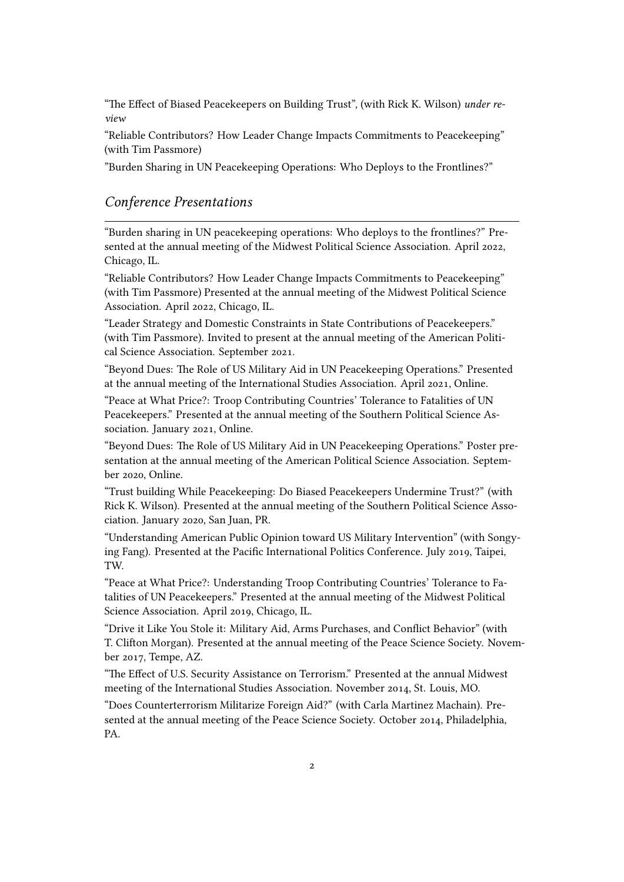"The Effect of Biased Peacekeepers on Building Trust", (with Rick K. Wilson) *under review*

"Reliable Contributors? How Leader Change Impacts Commitments to Peacekeeping" (with Tim Passmore)

"Burden Sharing in UN Peacekeeping Operations: Who Deploys to the Frontlines?"

#### *Conference Presentations*

"Burden sharing in UN peacekeeping operations: Who deploys to the frontlines?" Presented at the annual meeting of the Midwest Political Science Association. April 2022, Chicago, IL.

"Reliable Contributors? How Leader Change Impacts Commitments to Peacekeeping" (with Tim Passmore) Presented at the annual meeting of the Midwest Political Science Association. April 2022, Chicago, IL.

"Leader Strategy and Domestic Constraints in State Contributions of Peacekeepers." (with Tim Passmore). Invited to present at the annual meeting of the American Political Science Association. September 2021.

"Beyond Dues: The Role of US Military Aid in UN Peacekeeping Operations." Presented at the annual meeting of the International Studies Association. April 2021, Online.

"Peace at What Price?: Troop Contributing Countries' Tolerance to Fatalities of UN Peacekeepers." Presented at the annual meeting of the Southern Political Science Association. January 2021, Online.

"Beyond Dues: The Role of US Military Aid in UN Peacekeeping Operations." Poster presentation at the annual meeting of the American Political Science Association. September 2020, Online.

"Trust building While Peacekeeping: Do Biased Peacekeepers Undermine Trust?" (with Rick K. Wilson). Presented at the annual meeting of the Southern Political Science Association. January 2020, San Juan, PR.

"Understanding American Public Opinion toward US Military Intervention" (with Songying Fang). Presented at the Pacific International Politics Conference. July 2019, Taipei, TW.

"Peace at What Price?: Understanding Troop Contributing Countries' Tolerance to Fatalities of UN Peacekeepers." Presented at the annual meeting of the Midwest Political Science Association. April 2019, Chicago, IL.

"Drive it Like You Stole it: Military Aid, Arms Purchases, and Conflict Behavior" (with T. Clifton Morgan). Presented at the annual meeting of the Peace Science Society. November 2017, Tempe, AZ.

"The Effect of U.S. Security Assistance on Terrorism." Presented at the annual Midwest meeting of the International Studies Association. November 2014, St. Louis, MO.

"Does Counterterrorism Militarize Foreign Aid?" (with Carla Martinez Machain). Presented at the annual meeting of the Peace Science Society. October 2014, Philadelphia, PA.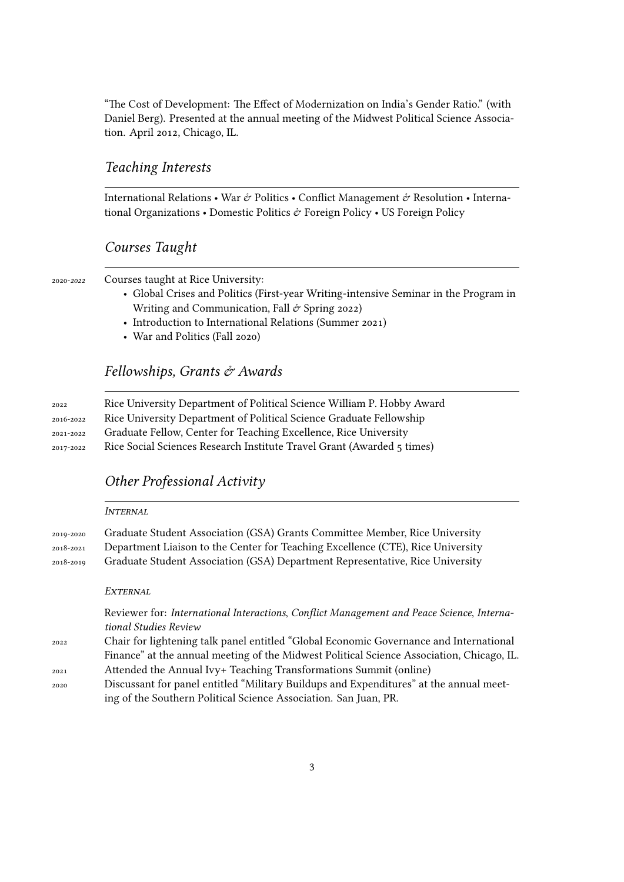"The Cost of Development: The Effect of Modernization on India's Gender Ratio." (with Daniel Berg). Presented at the annual meeting of the Midwest Political Science Association. April 2012, Chicago, IL.

#### *Teaching Interests*

International Relations • War & Politics • Conflict Management & Resolution • International Organizations • Domestic Politics  $\hat{\mathcal{C}}$  Foreign Policy • US Foreign Policy

#### *Courses Taught*

2020-*2022* Courses taught at Rice University:

- Global Crises and Politics (First-year Writing-intensive Seminar in the Program in Writing and Communication, Fall  $\dot{\sigma}$  Spring 2022)
- Introduction to International Relations (Summer 2021)
- War and Politics (Fall 2020)

#### *Fellowships, Grants & Awards*

| 2022      | Rice University Department of Political Science William P. Hobby Award |
|-----------|------------------------------------------------------------------------|
| 2016-2022 | Rice University Department of Political Science Graduate Fellowship    |
| 2021-2022 | Graduate Fellow, Center for Teaching Excellence, Rice University       |
| 2017-2022 | Rice Social Sciences Research Institute Travel Grant (Awarded 5 times) |

#### *Other Professional Activity*

|           | <i><b>INTERNAL</b></i>                                                                                                                                                                                                               |  |
|-----------|--------------------------------------------------------------------------------------------------------------------------------------------------------------------------------------------------------------------------------------|--|
| 2019-2020 | Graduate Student Association (GSA) Grants Committee Member, Rice University                                                                                                                                                          |  |
| 2018-2021 | Department Liaison to the Center for Teaching Excellence (CTE), Rice University                                                                                                                                                      |  |
| 2018-2019 | Graduate Student Association (GSA) Department Representative, Rice University                                                                                                                                                        |  |
|           |                                                                                                                                                                                                                                      |  |
|           | EXTERNAL                                                                                                                                                                                                                             |  |
|           | Reviewer for: International Interactions, Conflict Management and Peace Science, Interna-<br>tional Studies Review                                                                                                                   |  |
| 2022      | Chair for lightening talk panel entitled "Global Economic Governance and International                                                                                                                                               |  |
|           | Finance" at the annual meeting of the Midwest Political Science Association, Chicago, IL.                                                                                                                                            |  |
| 2021      | Attended the Annual Ivy+ Teaching Transformations Summit (online)                                                                                                                                                                    |  |
|           | $\sim$ 0 $\sim$ 1 $\sim$ 1 $\,$ 1 $\,$ 63 $\,$ 1 $\,$ 1 $\,$ $\sim$ 1 $\,$ 1 $\,$ 1 $\,$ 1 $\,$ 1 $\,$ 1 $\,$ 1 $\,$ 1 $\,$ 1 $\,$ 1 $\,$ 1 $\,$ 1 $\,$ 1 $\,$ 1 $\,$ 1 $\,$ 1 $\,$ 1 $\,$ 1 $\,$ 1 $\,$ 1 $\,$ 1 $\,$ 1 $\,$ 1 $\,$ |  |

2020 Discussant for panel entitled "Military Buildups and Expenditures" at the annual meeting of the Southern Political Science Association. San Juan, PR.